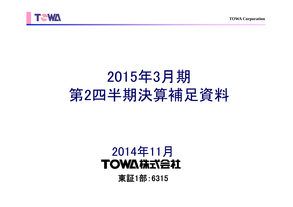



# 2015年3月期 第2四半期決算補足資料

## 2014年11月**TOWA #RTABLE**

東証1部:6315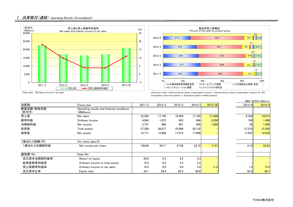



 ①Net sales ②Ordinary income to net sales a.Precision molds b.Semiconductor plastic encapsulation systems c.Semiconductor plastic encapsulation systems for LED d.Singulation parts and systems e. Engineering plastic molded products

|                    |                                                           |        |        |        |        |         |        | (単位:百万円/¥Millions) |
|--------------------|-----------------------------------------------------------|--------|--------|--------|--------|---------|--------|--------------------|
| 決算期                | Fiscal year                                               | 2011/3 | 2012/3 | 2013/3 | 2014/3 | 2015/3E | 2013/9 | 2014/9             |
| 経営成績·財政状態<br>(百万円) | Operating results and financial conditions<br>(¥Millions) |        |        |        |        |         |        |                    |
| 売上高                | Net sales                                                 | 22,592 | 17,140 | 16,454 | 17,165 | 21,000  | 8,328  | 10,913             |
| 経常利益               | Ordinary income                                           | 4.064  | 1.672  | 663    | 666    | 2,300   | 100    | 1,468              |
| 当期純利益              | Net income                                                | 3.751  | 968    | 691    | 568    | 1,800   | 52     | 1,088              |
| 総資産                | Total assets                                              | 27.288 | 26,817 | 25.896 | 29,132 |         | 27,210 | 31,650             |
| 純資産                | Net assets                                                | 14,771 | 15,926 | 17,072 | 17,909 |         | 17,207 | 19,528             |
| 1株当たり指標(円)         | Per share data $(\frac{1}{2})$                            |        |        |        |        |         |        |                    |
| 1株当たり当期純利益         | Net income per share                                      | 150.00 | 38.71  | 27.64  | 22.72  | 71.97   | 2.10   | 43.53              |
| 諸指標(%)             | Data(% )                                                  |        |        |        |        |         |        |                    |
| 自己資本当期純利益率         | Return on equity                                          | 29.0   | 6.3    | 4.2    | 3.3    |         |        |                    |
| 総資産経常利益率           | Ordinary income to total assets                           | 15.0   | 6.2    | 2.5    | 2.4    |         |        |                    |
| 売上高経常利益率           | Ordinary income to net sales                              | 18.0   | 9.8    | 4.0    | 3.9    | 11.0    | 1.2    | 13.5               |
| 自己資本比率             | Equity ratio                                              | 54.1   | 59.4   | 65.2   | 60.6   |         | 62.4   | 60.7               |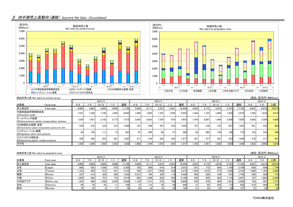### Ⅱ.四半期売上高動向(連結) Quarterly Net Sales (Consolidated)



| (単位:百万円/¥Millions)<br>製品別売上高 Net sales by product group |                                                        |                 |                            |           |       |        |         |         |           |         |        |         |         |           |                  |            |         |         |        |
|---------------------------------------------------------|--------------------------------------------------------|-----------------|----------------------------|-----------|-------|--------|---------|---------|-----------|---------|--------|---------|---------|-----------|------------------|------------|---------|---------|--------|
|                                                         |                                                        |                 | 2012/3<br>2014/3<br>2013/3 |           |       |        |         |         |           |         |        |         |         |           |                  |            |         |         |        |
| 決算期                                                     | Fiscal year                                            | $4 - 6$         | -9                         | $10 - 12$ | 1-3   | 通期     | $4 - 6$ | $7 - 9$ | $10 - 12$ | $1 - 3$ | 通期     | $4 - 6$ | $7 - 9$ | $10 - 12$ | $1 - 3$          | 通期         | $4 - 6$ | $7 - 9$ | 上期     |
| 売上高合計                                                   | Total sales                                            | 4.009           | 3.803                      | 4.665     | 4.660 | 17.140 | 5.604   | 5.111   | 3.237     | 2,501   | 16.454 | 3.555   | 4.772   | 3.076     | 5.761            | 17.165     | 4.897   | 6.016   | 10.913 |
| 半導体製造用等精密金型<br>(1) Precision molds                      |                                                        | 1.537           | 1.320                      | 1.745     | 1.859 | 6.462  | 1.984   | 1.665   | 1.247     | 1.026   | 5.923  | 1.443   | 1.723   | 1.009     | 1.634            | 5.810      | 1.382   | 1.632   | 3.015  |
| モールディング装置                                               | 2) Semiconductor plastic encapsulation systems         | 1.529           | 1.657                      | 2.152     | 2.173 | 7.513  | 3.052   | 2.623   | 1.254     | 870     | 7.801  | 1.479   | 2.007   | 1.406     | 2.958            | 7.852      | 2.620   | 3.305   | 5.926  |
| LED樹脂封止装置·金型                                            | 3) Semiconductor plastic encapsulation systems for LED | 544             | 418                        | 333       | 312   | 806.1  | 187     | 299     | 347       | 220     | 1.055  | 197     | 378     | 133       | 657              | .367       | 451     | 532     | 983    |
| シンギュレーション装置<br>4) Singulation parts and systems         |                                                        | 38 <sub>1</sub> | 104                        | 11        | 12    | 267    | 6.      | 204     | 65        | 57      | 395    | 82      | 285     | 158       | 182 <sub>h</sub> | <b>710</b> | 163     | 233     | 396    |
| ファインプラスチック成形品<br>5 Engineering plastic molded products  |                                                        | 359             | 303                        | 323       | 301   | 1.287  | 311     | 318     | 322       | 325     | 1.277  | 351     | 377     | 367       | 327              | 1.424      | 279     | 31      | 591    |
| 月平均                                                     |                                                        | 1.336           | 1.268                      | 1.555     | 1.553 | .428   | 1.868   | 1.704   | 1.079     | 834     | 1.3711 | .185    | 1.591   | 1.025     | 1.920            | .430       | 1.632   | 2.005   | 1.819  |

|        | 地域別売上高 Net sales by geographic area |         |       |           |       |        |         |        |           |       |        |         |                 |           |         |        |       | (単位:百万円/¥Millions) |        |  |
|--------|-------------------------------------|---------|-------|-----------|-------|--------|---------|--------|-----------|-------|--------|---------|-----------------|-----------|---------|--------|-------|--------------------|--------|--|
|        | 2012/3                              |         |       |           |       |        |         | 2013/3 |           |       |        | 2014/3  |                 |           |         |        |       | 2015/3             |        |  |
| 決算期    | Fiscal year                         | $4 - 6$ | -9    | $10 - 12$ | –:    | 通期     | $4 - 6$ |        | $10 - 12$ |       | 通期     | $4 - 6$ | 7–c             | $10 - 12$ | $1 - 3$ | 通期     | 4-6   | 7-9                | 上期     |  |
| 売上高合計  | Total sales                         | 4.009   | 3.803 | 4.665     | 4,660 | 17.140 | 5.604   | 5.111  | 3.237     | 2.501 | 16.454 | 3.555   | 4.772           | 3,076     | 5.761   | 17.165 | 4,897 | 6.016              | 10.913 |  |
| 日本     | 6 Japan                             | 688     | 925   | 1.030     | 675   | 3.320  | 702     | 590    | 614       | 614   | 2.521  | 527     | 772             | 654       | .195    | 3.150  | 849   | 884                | 1.734  |  |
| 台湾     | 7)Taiwan                            | .103    | 695   | 912       | 421   | 3.132  | 595     | 1.227  | 1.068     | 423   | 3.314  | .556    | 1.619           | 873       | .326    | 5.376  | 1.800 | 1.763              | 3.564  |  |
| 韓国     | 8Korea                              | 237     |       | 393       | 282   | 1.423  | 2.215   | 764    | 329       | 119h  | 3.428  | 408     | 528             | 189       |         | ا745،  | 305   | 409                | 714    |  |
| 中国     | <b>9</b> China                      | 1.050   | 903   | 701 l     | 718   | 3.374  | 903     | 1.248  | 583       | 453   | 3.189  | 436     | 926             | 462       | 1.116   | 2.941  | 767   | 1,662              | 2,429  |  |
| その他アジア | 100ther asia                        | 823     | 688   | .598      | 2.539 | 5.649  | 1.129   | .151   | 575       | 7481  | 3.604  | 543     | 870             | 609       | 1.361   | 3.384  | 743   | 987                | 1.731  |  |
| 米州     | Պ)America                           | 9,      | 32    | 25        |       | 164    |         | 1121   | 53        |       | 269    |         | 20 <sub>1</sub> | 263       |         | 428    | 418   | 284                | 703    |  |
| 欧州     | 12 Europe                           |         |       |           |       |        |         | 16     | 10        |       | 126    |         | $^{\circ}$      | 23        |         | 137    |       |                    | 35     |  |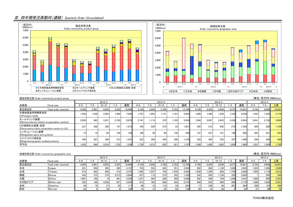#### Ⅲ.四半期受注高動向(連結) Quarterly Order (Consolidated)





|                                                         | (単位:百万円/¥Millions)<br>製品別受注高 Order received by product group |                  |         |           |       |        |         |       |                 |         |        |         |       |           |         |        |         |              |        |
|---------------------------------------------------------|--------------------------------------------------------------|------------------|---------|-----------|-------|--------|---------|-------|-----------------|---------|--------|---------|-------|-----------|---------|--------|---------|--------------|--------|
|                                                         |                                                              | 2012/3<br>2013/3 |         |           |       |        |         |       |                 |         | 2014/3 |         |       | 2015/3    |         |        |         |              |        |
| 決算期                                                     | Fiscal year                                                  | $4 - 6$          | ہ–'     | $10 - 12$ | $-3$  | 通期     | $4 - 6$ | 7-9   | $10 - 12$       | $1 - 3$ | 通期     | $4 - 6$ | 7–9   | $10 - 12$ | $1 - 3$ | 通期     | $4 - 6$ | $7 - 9$      | 上期     |
| 受注高合計                                                   | Total order received                                         | 4.265            | 2.891   | 6.053     | 5.255 | 18.466 | 5.190   | 3.039 | 2.766           | 2.763   | 13.759 | 4.740   | 4.454 | 5.048     | 5.677   | 19.921 | 5.793   | 4.648        | 10.441 |
| 半導体製造用等精密金型<br>1) Precision molds                       |                                                              | 1.558            | $1.236$ | 2.263     | 1.969 | 7.028  | 1.797   | 1.052 | 1.131           | 1,101   | 5.083  | 1.980   | 1.490 | 1,326     | 1.539   | 6.336  | 1.633   | 1.545        | 3.178  |
| モールディング装置                                               | 2) Semiconductor plastic encapsulation systems               | 2.055            | 982     | 3.221     | 2.720 | 8.978  | 2.741   | 1.119 | 970             | 1.103   | 5.934  | 1.904   | 2.067 | 2.643     | 3.339   | 9.954  | 2.841   | 2.158        | 5.000  |
| LED樹脂封止装置·金型                                            | 3) Semiconductor plastic encapsulation systems for LED       | 227              | 348     | 289       | 147   | 1.013  | 168     | 529   | 270             | 53      | 1.021  | 365     | 275   | 642       | 273     | 1.556  | 820     | 289          | 1.109  |
| シンギュレーション装置<br>4) Singulation parts and systems         |                                                              | 73               | 16      | $-29$     | 103   | 164    | 160     | 301   | 90 <sub>1</sub> | 158     | 439    | 107     | 257   | 101       | 198     | 664    | 203     | $35^{\circ}$ | 555    |
| ファインプラスチック成形品<br>5) Engineering plastic molded products |                                                              | 350              | 307     | 309       | 313   | 1.281  | 322     | 306   | 304             | 346     | 1.279  | 383     | 362   | 335       | 327     | 1.409  | 294     | 303          | 598    |
| 月平均                                                     |                                                              | 1.422            | 964     | 2.018     | 1.752 | 1.539  | 1.730   | 1.013 | 922             | 921     | 1.147  | .580    | 1.485 | 1.683     | 1.892   | .660   | 1.931   | 1.549        | 1.740  |

|        | 地域別受注高 Order received by geographic area |         |       |           |       |        |                      |                 |           |       |        |       |        |           |       |        |         |                    | (単位:百万円/¥Millions) |
|--------|------------------------------------------|---------|-------|-----------|-------|--------|----------------------|-----------------|-----------|-------|--------|-------|--------|-----------|-------|--------|---------|--------------------|--------------------|
|        |                                          | 2012/3  |       |           |       |        |                      | 2013/3          |           |       |        |       | 2015/3 |           |       |        |         |                    |                    |
| 決算期    | Fiscal year                              | $4 - 6$ |       | $10 - 12$ |       | 通期     | l-6                  | 7—Q.            | $10 - 12$ |       | 通期     | 4-6   |        | $10 - 12$ | 1-3   | 通期     | $4 - 6$ | 7-9                | 上期                 |
| 受注高合計  | Total order received                     | 4.265   | 2.891 | 6.053     | 5.255 | 18.466 | 5.190                | 3.039           | 2.766     | 2.763 | 13.759 | 4.740 | 4.454  | 5.048     | 5.677 | 19.921 | 5.793   | 4.648              | 10.44              |
| 日本     | 6Japan                                   | 821     | 906   | 963       | 495   | 3.187  | 703                  | 593             | 645       | 551   | 2.494  | 602   | 802    | 1.130     | 1.048 | 3,583  | 1.023   | 1.036              | 2.060              |
| 台湾     | 7) Taiwan                                | 615     | 642   | 602       | 512   | 2.372  | $1.492$ <sup>1</sup> | 1.027           | 793       | 1.079 | 4.392  | 1.639 | 1.299  | 894       | . 793 | 5.626  | 1.805   | .110               | 2.915              |
| 韓国     | 8Korea                                   | 435     | 375   | 219       | 2.573 | 3.604  | 637                  | 119             | 219       | 352   | 1.328  | 592   | 583    | 1.139     | 330   | 2,645  |         | 392                | 394                |
| 中国     | <b>9</b> China                           | 1.801   | 746   |           | 981   | 3.520  | 1.327                | 564             | 284       | 389   | 2.566  | 902   | 598    | 794       | 1.046 | 3.341  | 1.608   | 895                | 2,503              |
| その他アジア | 10 Other asia                            | 503     | 196   | 4.202     | 657   | 5.559  | 912                  | 704             | 668       | 293   | 2.579  | 966   | 823    | 990       |       | 3.770  | 1.060   | 1.030              | 2.091              |
| 米州     | 11)America                               | 44      |       |           |       |        |                      | 16 <sub>1</sub> | 112       |       | 263    |       | 330    |           |       | 864    | 266     | 132 $\blacksquare$ | 399                |
| 欧州     | 12Europe                                 | 43      |       |           |       | 104    |                      |                 |           |       |        |       |        | 50        |       | 89     | רמ      |                    | 76                 |

TOWA株式会社